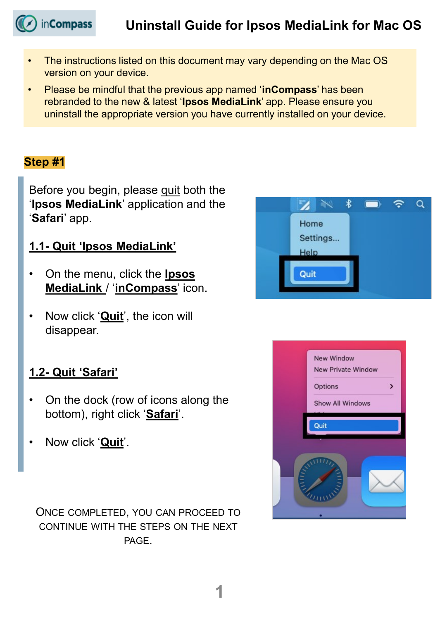in**Compass** 

- The instructions listed on this document may vary depending on the Mac OS version on your device.
- Please be mindful that the previous app named '**inCompass**' has been rebranded to the new & latest '**Ipsos MediaLink**' app. Please ensure you uninstall the appropriate version you have currently installed on your device.

### **Step #1**

Before you begin, please quit both the '**Ipsos MediaLink**' application and the '**Safari**' app.

### **1.1- Quit 'Ipsos MediaLink'**

- On the menu, click the **Ipsos MediaLink** / '**inCompass**' icon.
- Now click '**Quit**', the icon will disappear.

## **1.2- Quit 'Safari'**

- On the dock (row of icons along the bottom), right click '**Safari**'.
- Now click '**Quit**'.

ONCE COMPLETED, YOU CAN PROCEED TO CONTINUE WITH THE STEPS ON THE NEXT PAGE.



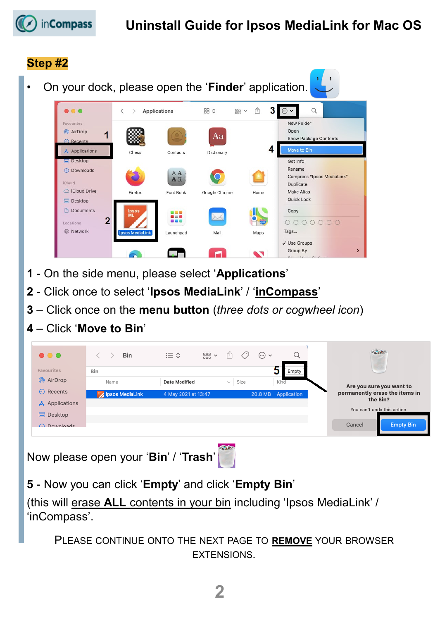

# **Uninstall Guide for Ipsos MediaLink for Mac OS**

### **Step #2**

- On your dock, please open the '**Finder**' application.  $rac{1}{\sqrt{100}}$   $\sqrt{100}$ 凸  $3<sup>1</sup>$  $\langle \rangle$  Applications 品 ☆  $\odot$   $\sim$  $\Omega$  $\bullet$ New Folder Favourites AirDrop Open 1 Aa Show Package Contents 4 Move to Bir A Applications Chess Contacts Dictionary Desktop Get Info Rename (4) Downloads  $AA$  $\bigcirc$ **Compress "Ipsos MediaLink"**  $A$  $a$ iCloud Duplicate C iCloud Drive Firefox Font Book Google Chrome Make Alias Home  $\Box$  Desktop Quick Look Documents Copy 83  $\overline{2}$ 0000000 Locations **B** Network Tags... sos MediaLink Launchpad Mail Maps V Use Groups Group By ...T  $\blacktriangledown$
- **1** On the side menu, please select '**Applications**'
- **2** Click once to select '**Ipsos MediaLink**' / '**inCompass**'
- **3** Click once on the **menu button** (*three dots or cogwheel icon*)
- **4** Click '**Move to Bin**'



Now please open your '**Bin**' / '**Trash**'



**5** - Now you can click '**Empty**' and click '**Empty Bin**'

(this will erase **ALL** contents in your bin including 'Ipsos MediaLink' / 'inCompass'.

PLEASE CONTINUE ONTO THE NEXT PAGE TO **REMOVE** YOUR BROWSER EXTENSIONS.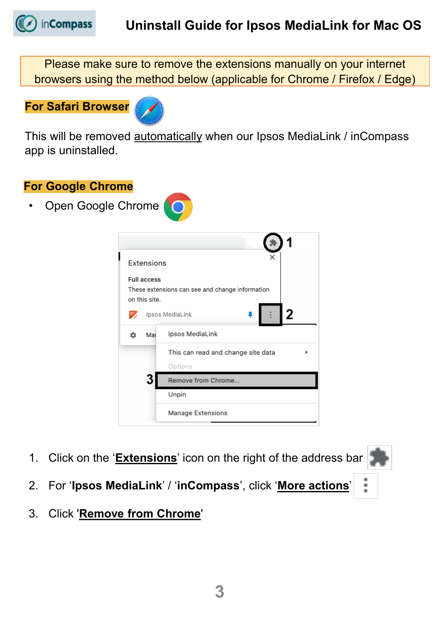

Please make sure to remove the extensions manually on your internet browsers using the method below (applicable for Chrome / Firefox / Edge)

**For Safari Browser**



This will be removed automatically when our Ipsos MediaLink / inCompass app is uninstalled.

### **For Google Chrome**

• Open Google Chrome

|                    | Extensions                          |                                                 |  |
|--------------------|-------------------------------------|-------------------------------------------------|--|
|                    | <b>Full access</b><br>on this site. | These extensions can see and change information |  |
| 57                 |                                     | Ipsos MediaLink                                 |  |
| n                  | Mar                                 | Ipsos MediaLink                                 |  |
|                    |                                     | This can read and change site data              |  |
|                    |                                     | Options                                         |  |
| Remove from Chrome |                                     |                                                 |  |
|                    |                                     | Unpin                                           |  |
|                    |                                     | Manage Extensions                               |  |

- 1. Click on the '**Extensions**' icon on the right of the address bar
- 2. For '**Ipsos MediaLink**' / '**inCompass**', click '**More actions**'
- 3. Click '**Remove from Chrome**'

中田 山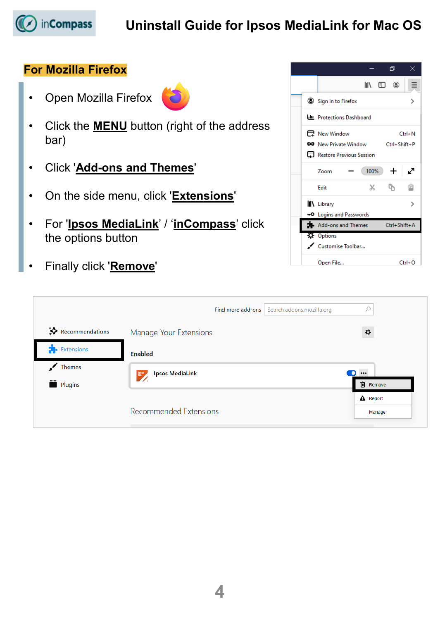

#### **For Mozilla Firefox**

• Open Mozilla Firefox



- Click the **MENU** button (right of the address bar)
- Click '**Add-ons and Themes**'
- On the side menu, click '**Extensions**'
- For '**Ipsos MediaLink**' / '**inCompass**' click the options button
- Finally click '**Remove**'

|  |                                  |      | 帀       | ×            |
|--|----------------------------------|------|---------|--------------|
|  |                                  |      | IN EI © |              |
|  | Sign in to Firefox               |      |         | >            |
|  | <b>UIL Protections Dashboard</b> |      |         |              |
|  | 日 New Window                     |      |         | $Ctrl + N$   |
|  | <b>CO</b> New Private Window     |      |         | Ctrl+Shift+P |
|  | Restore Previous Session         |      |         |              |
|  | Zoom                             | 100% | ┿       | ↙            |
|  | Edit                             | x    |         | ô            |
|  | II\ Library                      |      |         | >            |
|  | <b>-O</b> Logins and Passwords   |      |         |              |
|  | Add-ons and Themes               |      |         | Ctrl+Shift+A |
|  | X Options                        |      |         |              |
|  | Customise Toolbar                |      |         |              |
|  | Open File                        |      |         | $Ctrl + O$   |

|                                          | Search addons.mozilla.org<br>Find more add-ons |                         |
|------------------------------------------|------------------------------------------------|-------------------------|
| $\mathbf{\ddot{\times}}$ Recommendations | Manage Your Extensions                         | $\mathbf{\dot{\alpha}}$ |
| $\bullet$ Extensions                     | Enabled                                        |                         |
| Themes<br>$\boldsymbol{\checkmark}$      | <b>Ipsos MediaLink</b><br>$\mathbb{R}^n$       | $\cdots$                |
| Plugins                                  |                                                | Û<br>Remove             |
|                                          |                                                | <b>A</b> Report         |
|                                          | <b>Recommended Extensions</b>                  | Manage                  |
|                                          |                                                |                         |